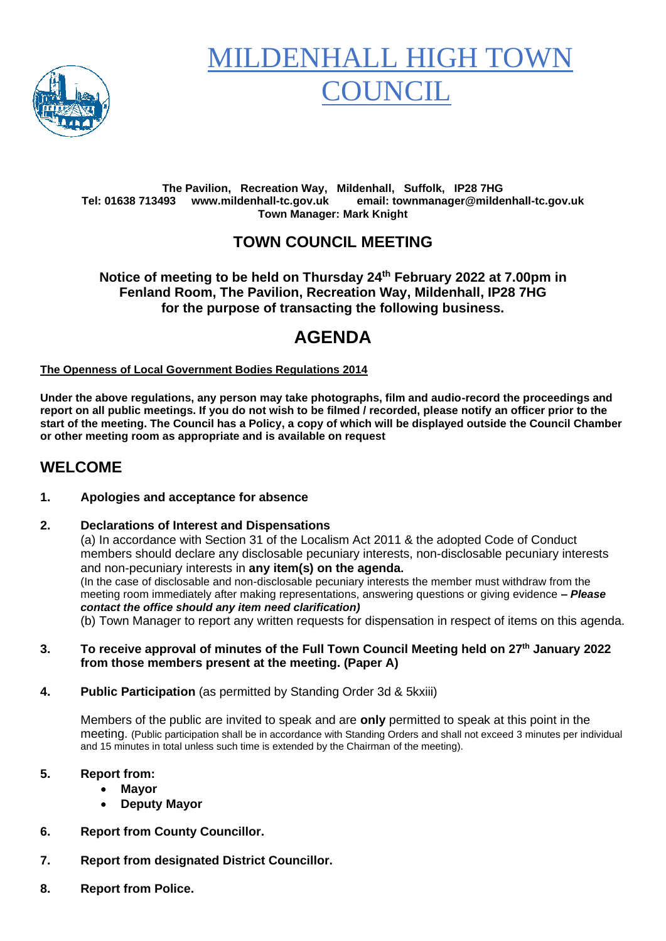

# **MILDENHALL HIGH TO OUNCIL**

#### **The Pavilion, Recreation Way, Mildenhall, Suffolk, IP28 7HG Tel: 01638 713493 www.mildenhall-tc.gov.uk email: townmanager@mildenhall-tc.gov.uk Town Manager: Mark Knight**

### **TOWN COUNCIL MEETING**

**Notice of meeting to be held on Thursday 24 th February 2022 at 7.00pm in Fenland Room, The Pavilion, Recreation Way, Mildenhall, IP28 7HG for the purpose of transacting the following business.**

# **AGENDA**

#### **The Openness of Local Government Bodies Regulations 2014**

**Under the above regulations, any person may take photographs, film and audio-record the proceedings and report on all public meetings. If you do not wish to be filmed / recorded, please notify an officer prior to the start of the meeting. The Council has a Policy, a copy of which will be displayed outside the Council Chamber or other meeting room as appropriate and is available on request**

### **WELCOME**

#### **1. Apologies and acceptance for absence**

#### **2. Declarations of Interest and Dispensations**

(a) In accordance with Section 31 of the Localism Act 2011 & the adopted Code of Conduct members should declare any disclosable pecuniary interests, non-disclosable pecuniary interests and non-pecuniary interests in **any item(s) on the agenda.** (In the case of disclosable and non-disclosable pecuniary interests the member must withdraw from the meeting room immediately after making representations, answering questions or giving evidence **–** *Please contact the office should any item need clarification)* (b) Town Manager to report any written requests for dispensation in respect of items on this agenda.

- **3. To receive approval of minutes of the Full Town Council Meeting held on 27th January 2022 from those members present at the meeting. (Paper A)**
- **4. Public Participation** (as permitted by Standing Order 3d & 5kxiii)

Members of the public are invited to speak and are **only** permitted to speak at this point in the meeting. (Public participation shall be in accordance with Standing Orders and shall not exceed 3 minutes per individual and 15 minutes in total unless such time is extended by the Chairman of the meeting).

#### **5. Report from:**

- **Mayor**
- **Deputy Mayor**
- **6. Report from County Councillor.**
- **7. Report from designated District Councillor.**
- **8. Report from Police.**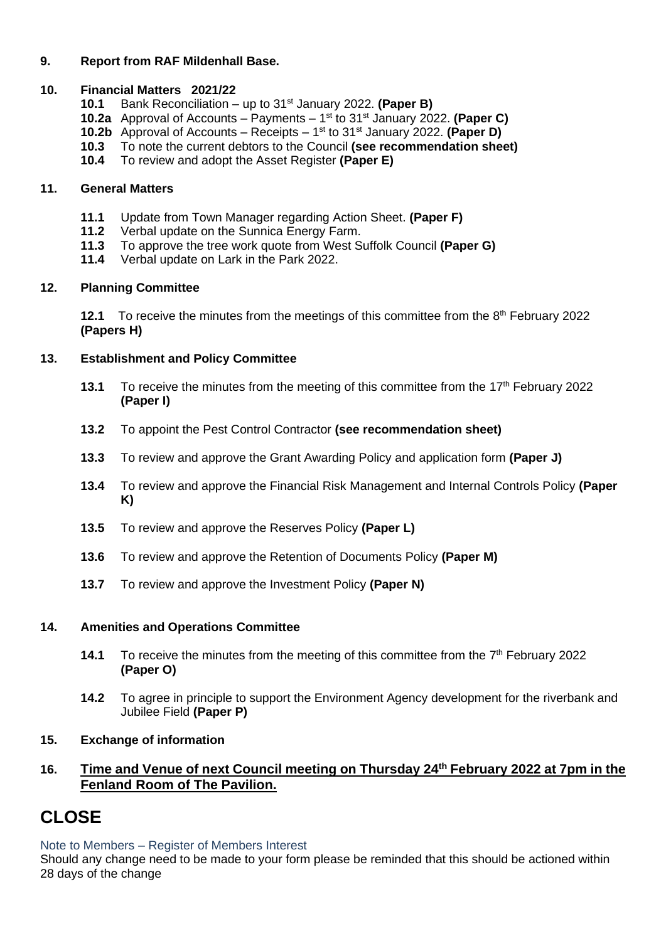#### **9. Report from RAF Mildenhall Base.**

#### **10. Financial Matters 2021/22**

- **10.1** Bank Reconciliation up to 31st January 2022. **(Paper B)**
- **10.2a** Approval of Accounts Payments 1 st to 31 st January 2022. **(Paper C)**
- **10.2b** Approval of Accounts Receipts 1<sup>st</sup> to 31<sup>st</sup> January 2022. **(Paper D)**
- **10.3** To note the current debtors to the Council **(see recommendation sheet)**
- **10.4** To review and adopt the Asset Register **(Paper E)**

#### **11. General Matters**

- **11.1** Update from Town Manager regarding Action Sheet. **(Paper F)**
- **11.2** Verbal update on the Sunnica Energy Farm.
- **11.3** To approve the tree work quote from West Suffolk Council **(Paper G)**
- **11.4** Verbal update on Lark in the Park 2022.

#### **12. Planning Committee**

**12.1** To receive the minutes from the meetings of this committee from the 8<sup>th</sup> February 2022 **(Papers H)**

#### **13. Establishment and Policy Committee**

- 13.1 To receive the minutes from the meeting of this committee from the 17<sup>th</sup> February 2022 **(Paper I)**
- **13.2** To appoint the Pest Control Contractor **(see recommendation sheet)**
- **13.3** To review and approve the Grant Awarding Policy and application form **(Paper J)**
- **13.4** To review and approve the Financial Risk Management and Internal Controls Policy **(Paper K)**
- **13.5** To review and approve the Reserves Policy **(Paper L)**
- **13.6** To review and approve the Retention of Documents Policy **(Paper M)**
- **13.7** To review and approve the Investment Policy **(Paper N)**

#### **14. Amenities and Operations Committee**

- **14.1** To receive the minutes from the meeting of this committee from the 7<sup>th</sup> February 2022 **(Paper O)**
- **14.2** To agree in principle to support the Environment Agency development for the riverbank and Jubilee Field **(Paper P)**
- **15. Exchange of information**

#### **16. Time and Venue of next Council meeting on Thursday 24th February 2022 at 7pm in the Fenland Room of The Pavilion.**

# **CLOSE**

Note to Members – Register of Members Interest

Should any change need to be made to your form please be reminded that this should be actioned within 28 days of the change